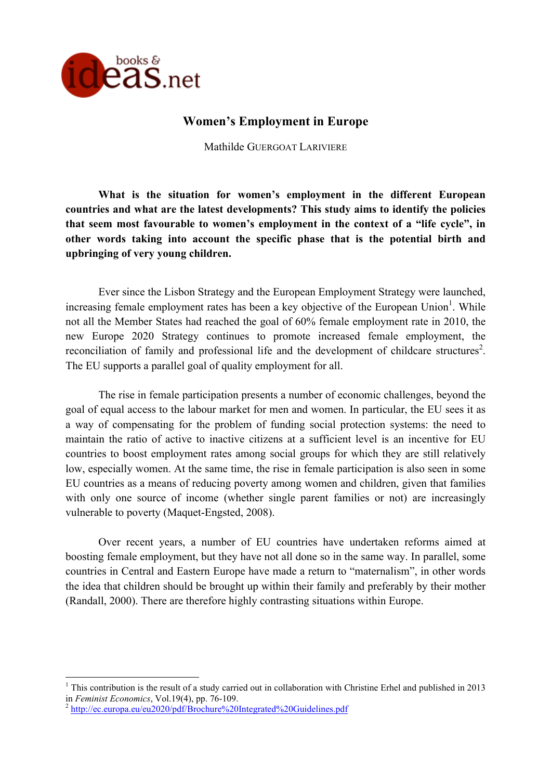

# **Women's Employment in Europe**

Mathilde GUERGOAT LARIVIERE

**What is the situation for women's employment in the different European countries and what are the latest developments? This study aims to identify the policies that seem most favourable to women's employment in the context of a "life cycle", in other words taking into account the specific phase that is the potential birth and upbringing of very young children.**

Ever since the Lisbon Strategy and the European Employment Strategy were launched, increasing female employment rates has been a key objective of the European Union<sup>1</sup>. While not all the Member States had reached the goal of 60% female employment rate in 2010, the new Europe 2020 Strategy continues to promote increased female employment, the reconciliation of family and professional life and the development of childcare structures<sup>2</sup>. The EU supports a parallel goal of quality employment for all.

The rise in female participation presents a number of economic challenges, beyond the goal of equal access to the labour market for men and women. In particular, the EU sees it as a way of compensating for the problem of funding social protection systems: the need to maintain the ratio of active to inactive citizens at a sufficient level is an incentive for EU countries to boost employment rates among social groups for which they are still relatively low, especially women. At the same time, the rise in female participation is also seen in some EU countries as a means of reducing poverty among women and children, given that families with only one source of income (whether single parent families or not) are increasingly vulnerable to poverty (Maquet-Engsted, 2008).

Over recent years, a number of EU countries have undertaken reforms aimed at boosting female employment, but they have not all done so in the same way. In parallel, some countries in Central and Eastern Europe have made a return to "maternalism", in other words the idea that children should be brought up within their family and preferably by their mother (Randall, 2000). There are therefore highly contrasting situations within Europe.

!!!!!!!!!!!!!!!!!!!!!!!!!!!!!!!!!!!!!!!!!!!!!!!!!!!!!!!!!!!

<sup>&</sup>lt;sup>1</sup> This contribution is the result of a study carried out in collaboration with Christine Erhel and published in 2013 in *Feminist Economics*, Vol.19(4), pp. 76-109.<br><sup>2</sup> http://ec.europa.eu/eu2020/pdf/Brochure%20Integrated%20Guidelines.pdf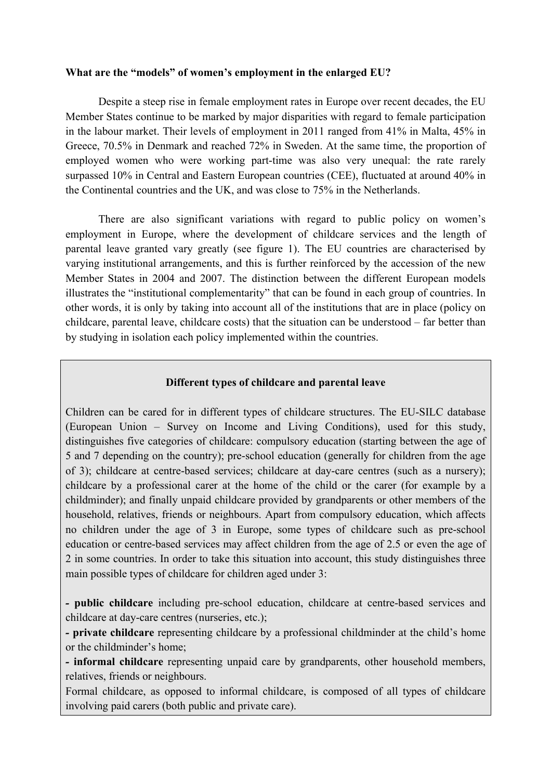## **What are the "models" of women's employment in the enlarged EU?**

Despite a steep rise in female employment rates in Europe over recent decades, the EU Member States continue to be marked by major disparities with regard to female participation in the labour market. Their levels of employment in 2011 ranged from 41% in Malta, 45% in Greece, 70.5% in Denmark and reached 72% in Sweden. At the same time, the proportion of employed women who were working part-time was also very unequal: the rate rarely surpassed 10% in Central and Eastern European countries (CEE), fluctuated at around 40% in the Continental countries and the UK, and was close to 75% in the Netherlands.

There are also significant variations with regard to public policy on women's employment in Europe, where the development of childcare services and the length of parental leave granted vary greatly (see figure 1). The EU countries are characterised by varying institutional arrangements, and this is further reinforced by the accession of the new Member States in 2004 and 2007. The distinction between the different European models illustrates the "institutional complementarity" that can be found in each group of countries. In other words, it is only by taking into account all of the institutions that are in place (policy on childcare, parental leave, childcare costs) that the situation can be understood – far better than by studying in isolation each policy implemented within the countries.

## **Different types of childcare and parental leave**

Children can be cared for in different types of childcare structures. The EU-SILC database (European Union – Survey on Income and Living Conditions), used for this study, distinguishes five categories of childcare: compulsory education (starting between the age of 5 and 7 depending on the country); pre-school education (generally for children from the age of 3); childcare at centre-based services; childcare at day-care centres (such as a nursery); childcare by a professional carer at the home of the child or the carer (for example by a childminder); and finally unpaid childcare provided by grandparents or other members of the household, relatives, friends or neighbours. Apart from compulsory education, which affects no children under the age of 3 in Europe, some types of childcare such as pre-school education or centre-based services may affect children from the age of 2.5 or even the age of 2 in some countries. In order to take this situation into account, this study distinguishes three main possible types of childcare for children aged under 3:

*-* **public childcare** including pre-school education, childcare at centre-based services and childcare at day-care centres (nurseries, etc.);

*-* **private childcare** representing childcare by a professional childminder at the child's home or the childminder's home;

*-* **informal childcare** representing unpaid care by grandparents, other household members, relatives, friends or neighbours.

Formal childcare, as opposed to informal childcare, is composed of all types of childcare involving paid carers (both public and private care).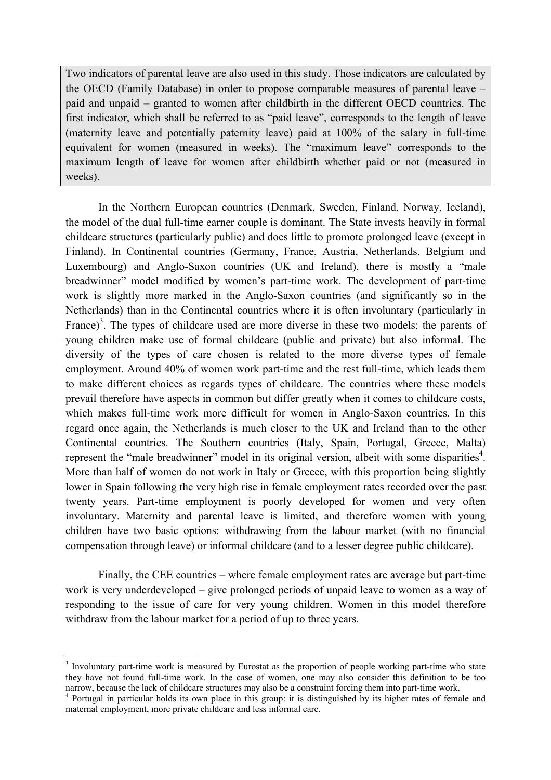Two indicators of parental leave are also used in this study. Those indicators are calculated by the OECD (Family Database) in order to propose comparable measures of parental leave – paid and unpaid – granted to women after childbirth in the different OECD countries. The first indicator, which shall be referred to as "paid leave", corresponds to the length of leave (maternity leave and potentially paternity leave) paid at 100% of the salary in full-time equivalent for women (measured in weeks). The "maximum leave" corresponds to the maximum length of leave for women after childbirth whether paid or not (measured in weeks).

In the Northern European countries (Denmark, Sweden, Finland, Norway, Iceland), the model of the dual full-time earner couple is dominant. The State invests heavily in formal childcare structures (particularly public) and does little to promote prolonged leave (except in Finland). In Continental countries (Germany, France, Austria, Netherlands, Belgium and Luxembourg) and Anglo-Saxon countries (UK and Ireland), there is mostly a "male breadwinner" model modified by women's part-time work. The development of part-time work is slightly more marked in the Anglo-Saxon countries (and significantly so in the Netherlands) than in the Continental countries where it is often involuntary (particularly in France)<sup>3</sup>. The types of childcare used are more diverse in these two models: the parents of young children make use of formal childcare (public and private) but also informal. The diversity of the types of care chosen is related to the more diverse types of female employment. Around 40% of women work part-time and the rest full-time, which leads them to make different choices as regards types of childcare. The countries where these models prevail therefore have aspects in common but differ greatly when it comes to childcare costs, which makes full-time work more difficult for women in Anglo-Saxon countries. In this regard once again, the Netherlands is much closer to the UK and Ireland than to the other Continental countries. The Southern countries (Italy, Spain, Portugal, Greece, Malta) represent the "male breadwinner" model in its original version, albeit with some disparities<sup>4</sup>. More than half of women do not work in Italy or Greece, with this proportion being slightly lower in Spain following the very high rise in female employment rates recorded over the past twenty years. Part-time employment is poorly developed for women and very often involuntary. Maternity and parental leave is limited, and therefore women with young children have two basic options: withdrawing from the labour market (with no financial compensation through leave) or informal childcare (and to a lesser degree public childcare).

Finally, the CEE countries – where female employment rates are average but part-time work is very underdeveloped – give prolonged periods of unpaid leave to women as a way of responding to the issue of care for very young children. Women in this model therefore withdraw from the labour market for a period of up to three years.

<sup>!!!!!!!!!!!!!!!!!!!!!!!!!!!!!!!!!!!!!!!!!!!!!!!!!!!!!!!!!!!</sup> <sup>3</sup> Involuntary part-time work is measured by Eurostat as the proportion of people working part-time who state they have not found full-time work. In the case of women, one may also consider this definition to be too narrow, because the lack of childcare structures may also be a constraint forcing them into part-time work.

<sup>&</sup>lt;sup>4</sup> Portugal in particular holds its own place in this group: it is distinguished by its higher rates of female and maternal employment, more private childcare and less informal care.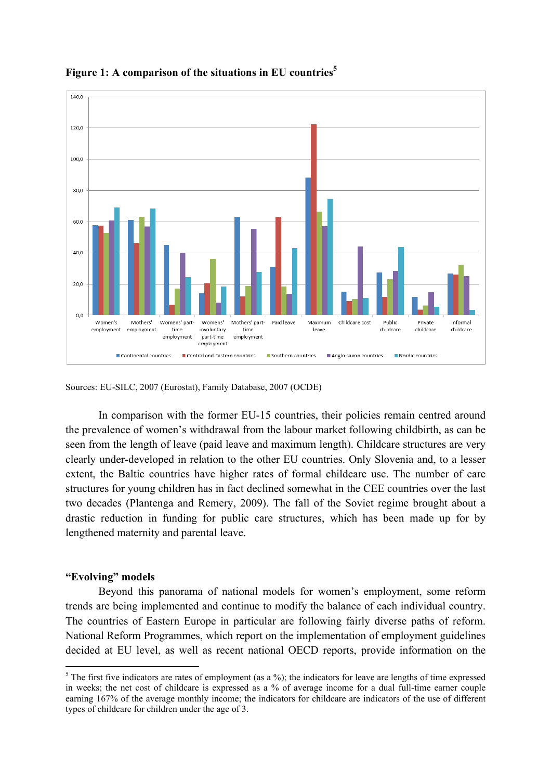

## **Figure 1: A comparison of the situations in EU countries<sup>5</sup>**

Sources: EU-SILC, 2007 (Eurostat), Family Database, 2007 (OCDE)

In comparison with the former EU-15 countries, their policies remain centred around the prevalence of women's withdrawal from the labour market following childbirth, as can be seen from the length of leave (paid leave and maximum length). Childcare structures are very clearly under-developed in relation to the other EU countries. Only Slovenia and, to a lesser extent, the Baltic countries have higher rates of formal childcare use. The number of care structures for young children has in fact declined somewhat in the CEE countries over the last two decades (Plantenga and Remery, 2009). The fall of the Soviet regime brought about a drastic reduction in funding for public care structures, which has been made up for by lengthened maternity and parental leave.

### **"Evolving" models**

!!!!!!!!!!!!!!!!!!!!!!!!!!!!!!!!!!!!!!!!!!!!!!!!!!!!!!!!!!!

Beyond this panorama of national models for women's employment, some reform trends are being implemented and continue to modify the balance of each individual country. The countries of Eastern Europe in particular are following fairly diverse paths of reform. National Reform Programmes, which report on the implementation of employment guidelines decided at EU level, as well as recent national OECD reports, provide information on the

 $5$  The first five indicators are rates of employment (as a %); the indicators for leave are lengths of time expressed in weeks; the net cost of childcare is expressed as a % of average income for a dual full-time earner couple earning 167% of the average monthly income; the indicators for childcare are indicators of the use of different types of childcare for children under the age of 3.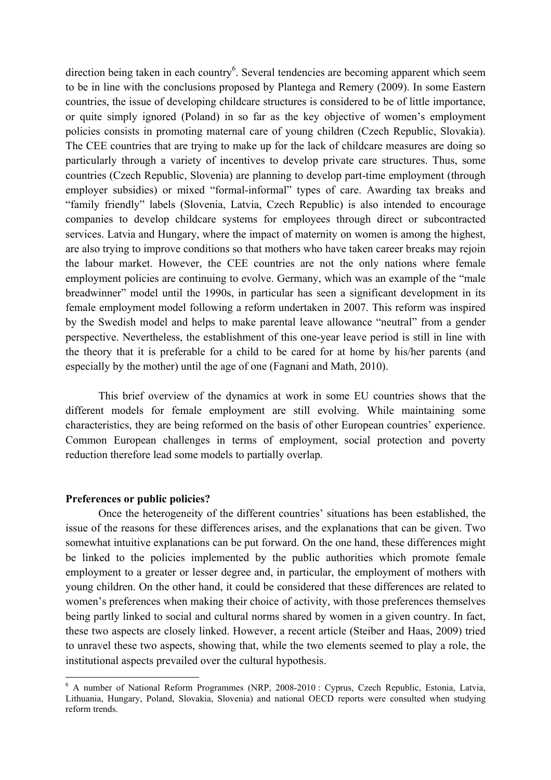direction being taken in each country<sup>6</sup>. Several tendencies are becoming apparent which seem to be in line with the conclusions proposed by Plantega and Remery (2009). In some Eastern countries, the issue of developing childcare structures is considered to be of little importance, or quite simply ignored (Poland) in so far as the key objective of women's employment policies consists in promoting maternal care of young children (Czech Republic, Slovakia). The CEE countries that are trying to make up for the lack of childcare measures are doing so particularly through a variety of incentives to develop private care structures. Thus, some countries (Czech Republic, Slovenia) are planning to develop part-time employment (through employer subsidies) or mixed "formal-informal" types of care. Awarding tax breaks and "family friendly" labels (Slovenia, Latvia, Czech Republic) is also intended to encourage companies to develop childcare systems for employees through direct or subcontracted services. Latvia and Hungary, where the impact of maternity on women is among the highest, are also trying to improve conditions so that mothers who have taken career breaks may rejoin the labour market. However, the CEE countries are not the only nations where female employment policies are continuing to evolve. Germany, which was an example of the "male breadwinner" model until the 1990s, in particular has seen a significant development in its female employment model following a reform undertaken in 2007. This reform was inspired by the Swedish model and helps to make parental leave allowance "neutral" from a gender perspective. Nevertheless, the establishment of this one-year leave period is still in line with the theory that it is preferable for a child to be cared for at home by his/her parents (and especially by the mother) until the age of one (Fagnani and Math, 2010).

This brief overview of the dynamics at work in some EU countries shows that the different models for female employment are still evolving. While maintaining some characteristics, they are being reformed on the basis of other European countries' experience. Common European challenges in terms of employment, social protection and poverty reduction therefore lead some models to partially overlap.

#### **Preferences or public policies?**

!!!!!!!!!!!!!!!!!!!!!!!!!!!!!!!!!!!!!!!!!!!!!!!!!!!!!!!!!!!

Once the heterogeneity of the different countries' situations has been established, the issue of the reasons for these differences arises, and the explanations that can be given. Two somewhat intuitive explanations can be put forward. On the one hand, these differences might be linked to the policies implemented by the public authorities which promote female employment to a greater or lesser degree and, in particular, the employment of mothers with young children. On the other hand, it could be considered that these differences are related to women's preferences when making their choice of activity, with those preferences themselves being partly linked to social and cultural norms shared by women in a given country. In fact, these two aspects are closely linked. However, a recent article (Steiber and Haas, 2009) tried to unravel these two aspects, showing that, while the two elements seemed to play a role, the institutional aspects prevailed over the cultural hypothesis.

<sup>6</sup> A number of National Reform Programmes (NRP, 2008-2010 : Cyprus, Czech Republic, Estonia, Latvia, Lithuania, Hungary, Poland, Slovakia, Slovenia) and national OECD reports were consulted when studying reform trends.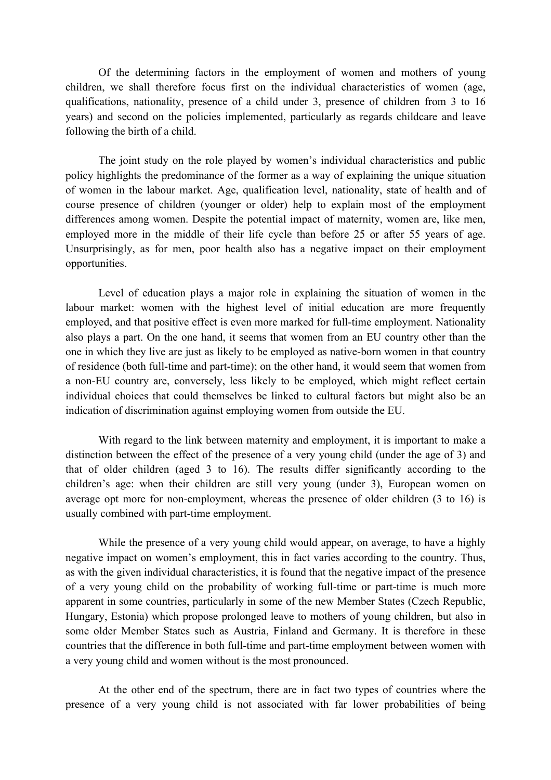Of the determining factors in the employment of women and mothers of young children, we shall therefore focus first on the individual characteristics of women (age, qualifications, nationality, presence of a child under 3, presence of children from 3 to 16 years) and second on the policies implemented, particularly as regards childcare and leave following the birth of a child.

The joint study on the role played by women's individual characteristics and public policy highlights the predominance of the former as a way of explaining the unique situation of women in the labour market. Age, qualification level, nationality, state of health and of course presence of children (younger or older) help to explain most of the employment differences among women. Despite the potential impact of maternity, women are, like men, employed more in the middle of their life cycle than before 25 or after 55 years of age. Unsurprisingly, as for men, poor health also has a negative impact on their employment opportunities.

Level of education plays a major role in explaining the situation of women in the labour market: women with the highest level of initial education are more frequently employed, and that positive effect is even more marked for full-time employment. Nationality also plays a part. On the one hand, it seems that women from an EU country other than the one in which they live are just as likely to be employed as native-born women in that country of residence (both full-time and part-time); on the other hand, it would seem that women from a non-EU country are, conversely, less likely to be employed, which might reflect certain individual choices that could themselves be linked to cultural factors but might also be an indication of discrimination against employing women from outside the EU.

With regard to the link between maternity and employment, it is important to make a distinction between the effect of the presence of a very young child (under the age of 3) and that of older children (aged 3 to 16). The results differ significantly according to the children's age: when their children are still very young (under 3), European women on average opt more for non-employment, whereas the presence of older children (3 to 16) is usually combined with part-time employment.

While the presence of a very young child would appear, on average, to have a highly negative impact on women's employment, this in fact varies according to the country. Thus, as with the given individual characteristics, it is found that the negative impact of the presence of a very young child on the probability of working full-time or part-time is much more apparent in some countries, particularly in some of the new Member States (Czech Republic, Hungary, Estonia) which propose prolonged leave to mothers of young children, but also in some older Member States such as Austria, Finland and Germany. It is therefore in these countries that the difference in both full-time and part-time employment between women with a very young child and women without is the most pronounced.

At the other end of the spectrum, there are in fact two types of countries where the presence of a very young child is not associated with far lower probabilities of being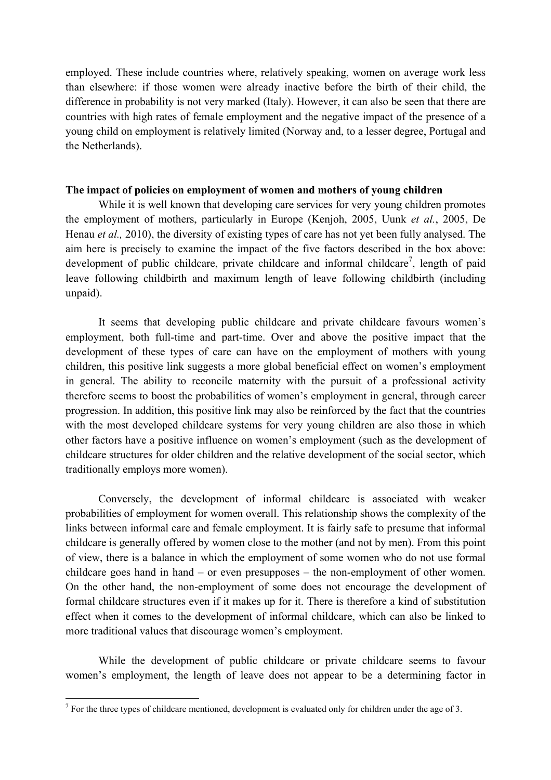employed. These include countries where, relatively speaking, women on average work less than elsewhere: if those women were already inactive before the birth of their child, the difference in probability is not very marked (Italy). However, it can also be seen that there are countries with high rates of female employment and the negative impact of the presence of a young child on employment is relatively limited (Norway and, to a lesser degree, Portugal and the Netherlands).

### **The impact of policies on employment of women and mothers of young children**

While it is well known that developing care services for very young children promotes the employment of mothers, particularly in Europe (Kenjoh, 2005, Uunk *et al.*, 2005, De Henau *et al.,* 2010), the diversity of existing types of care has not yet been fully analysed. The aim here is precisely to examine the impact of the five factors described in the box above: development of public childcare, private childcare and informal childcare<sup>7</sup>, length of paid leave following childbirth and maximum length of leave following childbirth (including unpaid).

It seems that developing public childcare and private childcare favours women's employment, both full-time and part-time. Over and above the positive impact that the development of these types of care can have on the employment of mothers with young children, this positive link suggests a more global beneficial effect on women's employment in general. The ability to reconcile maternity with the pursuit of a professional activity therefore seems to boost the probabilities of women's employment in general, through career progression. In addition, this positive link may also be reinforced by the fact that the countries with the most developed childcare systems for very young children are also those in which other factors have a positive influence on women's employment (such as the development of childcare structures for older children and the relative development of the social sector, which traditionally employs more women).

Conversely, the development of informal childcare is associated with weaker probabilities of employment for women overall. This relationship shows the complexity of the links between informal care and female employment. It is fairly safe to presume that informal childcare is generally offered by women close to the mother (and not by men). From this point of view, there is a balance in which the employment of some women who do not use formal childcare goes hand in hand – or even presupposes – the non-employment of other women. On the other hand, the non-employment of some does not encourage the development of formal childcare structures even if it makes up for it. There is therefore a kind of substitution effect when it comes to the development of informal childcare, which can also be linked to more traditional values that discourage women's employment.

While the development of public childcare or private childcare seems to favour women's employment, the length of leave does not appear to be a determining factor in

!!!!!!!!!!!!!!!!!!!!!!!!!!!!!!!!!!!!!!!!!!!!!!!!!!!!!!!!!!!

 $<sup>7</sup>$  For the three types of childcare mentioned, development is evaluated only for children under the age of 3.</sup>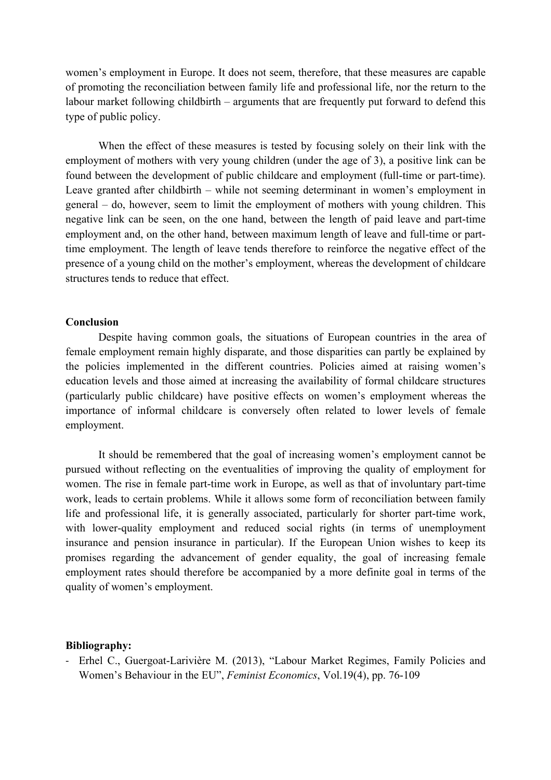women's employment in Europe. It does not seem, therefore, that these measures are capable of promoting the reconciliation between family life and professional life, nor the return to the labour market following childbirth – arguments that are frequently put forward to defend this type of public policy.

When the effect of these measures is tested by focusing solely on their link with the employment of mothers with very young children (under the age of 3), a positive link can be found between the development of public childcare and employment (full-time or part-time). Leave granted after childbirth – while not seeming determinant in women's employment in general – do, however, seem to limit the employment of mothers with young children. This negative link can be seen, on the one hand, between the length of paid leave and part-time employment and, on the other hand, between maximum length of leave and full-time or parttime employment. The length of leave tends therefore to reinforce the negative effect of the presence of a young child on the mother's employment, whereas the development of childcare structures tends to reduce that effect.

### **Conclusion**

Despite having common goals, the situations of European countries in the area of female employment remain highly disparate, and those disparities can partly be explained by the policies implemented in the different countries. Policies aimed at raising women's education levels and those aimed at increasing the availability of formal childcare structures (particularly public childcare) have positive effects on women's employment whereas the importance of informal childcare is conversely often related to lower levels of female employment.

It should be remembered that the goal of increasing women's employment cannot be pursued without reflecting on the eventualities of improving the quality of employment for women. The rise in female part-time work in Europe, as well as that of involuntary part-time work, leads to certain problems. While it allows some form of reconciliation between family life and professional life, it is generally associated, particularly for shorter part-time work, with lower-quality employment and reduced social rights (in terms of unemployment insurance and pension insurance in particular). If the European Union wishes to keep its promises regarding the advancement of gender equality, the goal of increasing female employment rates should therefore be accompanied by a more definite goal in terms of the quality of women's employment.

#### **Bibliography:**

- Erhel C., Guergoat-Larivière M. (2013), "Labour Market Regimes, Family Policies and Women's Behaviour in the EU", *Feminist Economics*, Vol.19(4), pp. 76-109